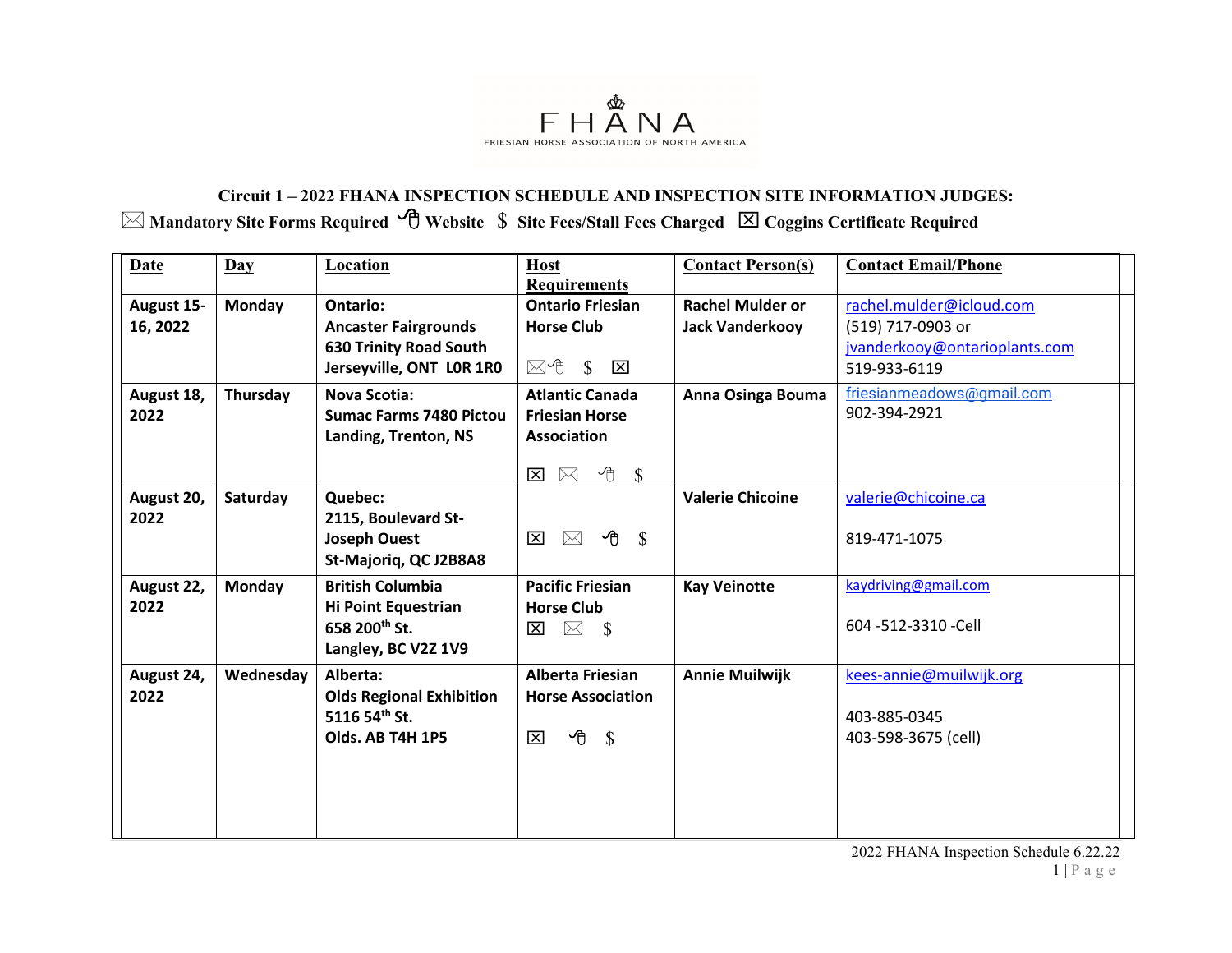

## **Circuit 1 – 2022 FHANA INSPECTION SCHEDULE AND INSPECTION SITE INFORMATION JUDGES: Mandatory Site Forms Required Website** \$ **Site Fees/Stall Fees Charged Coggins Certificate Required**

| Date                   | $\mathbf{Day}$ | <b>Location</b>                                                                                             | <b>Host</b><br><b>Requirements</b>                                                                                        | <b>Contact Person(s)</b>                          | <b>Contact Email/Phone</b>                                                                     |
|------------------------|----------------|-------------------------------------------------------------------------------------------------------------|---------------------------------------------------------------------------------------------------------------------------|---------------------------------------------------|------------------------------------------------------------------------------------------------|
| August 15-<br>16, 2022 | <b>Monday</b>  | <b>Ontario:</b><br><b>Ancaster Fairgrounds</b><br><b>630 Trinity Road South</b><br>Jerseyville, ONT LOR 1RO | <b>Ontario Friesian</b><br><b>Horse Club</b><br>$\boxtimes$ 1 \$<br>区                                                     | <b>Rachel Mulder or</b><br><b>Jack Vanderkooy</b> | rachel.mulder@icloud.com<br>(519) 717-0903 or<br>jvanderkooy@ontarioplants.com<br>519-933-6119 |
| August 18,<br>2022     | Thursday       | <b>Nova Scotia:</b><br><b>Sumac Farms 7480 Pictou</b><br>Landing, Trenton, NS                               | <b>Atlantic Canada</b><br><b>Friesian Horse</b><br><b>Association</b><br>∽⊕<br>$\boxtimes$<br>$\mathbb{S}$<br>$\boxtimes$ | Anna Osinga Bouma                                 | friesianmeadows@gmail.com<br>902-394-2921                                                      |
| August 20,<br>2022     | Saturday       | Quebec:<br>2115, Boulevard St-<br><b>Joseph Ouest</b><br>St-Majoriq, QC J2B8A8                              | ∽ტ<br>$\boxtimes$<br>$\mathbb{S}$<br>$\mathbf{\overline{X}}$                                                              | <b>Valerie Chicoine</b>                           | valerie@chicoine.ca<br>819-471-1075                                                            |
| August 22,<br>2022     | <b>Monday</b>  | <b>British Columbia</b><br><b>Hi Point Equestrian</b><br>658 200th St.<br>Langley, BC V2Z 1V9               | <b>Pacific Friesian</b><br><b>Horse Club</b><br>$\boxtimes$ \$<br>⊠                                                       | <b>Kay Veinotte</b>                               | kaydriving@gmail.com<br>604 -512-3310 -Cell                                                    |
| August 24,<br>2022     | Wednesday      | Alberta:<br><b>Olds Regional Exhibition</b><br>5116 54th St.<br>Olds. AB T4H 1P5                            | <b>Alberta Friesian</b><br><b>Horse Association</b><br>$\overline{\Theta}$ \$<br>$\mathbf{x}$                             | <b>Annie Muilwijk</b>                             | kees-annie@muilwijk.org<br>403-885-0345<br>403-598-3675 (cell)                                 |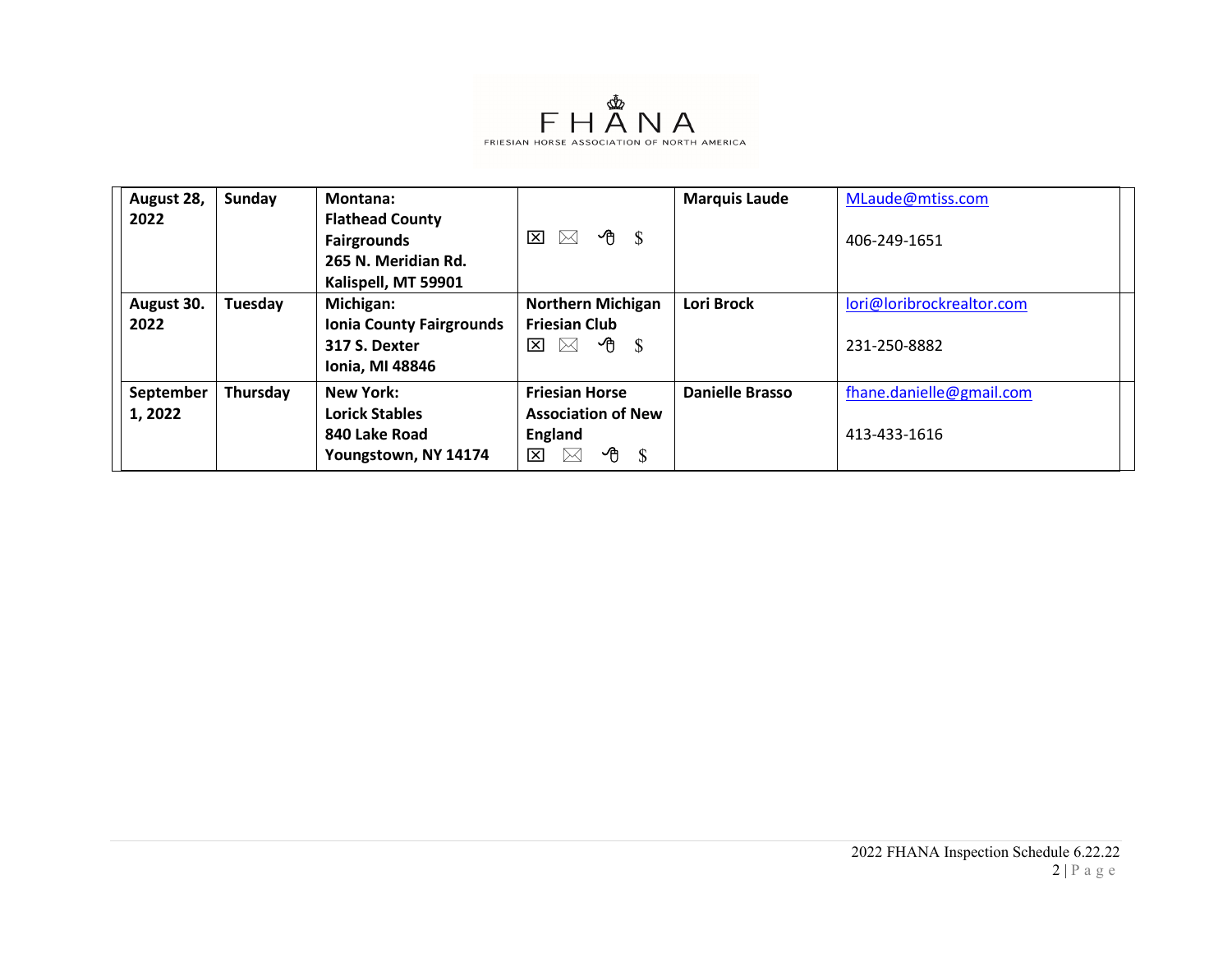

| August 28,<br>2022   | Sunday   | Montana:<br><b>Flathead County</b><br><b>Fairgrounds</b><br>265 N. Meridian Rd.<br>Kalispell, MT 59901 | ≁∪ੈ<br><b>S</b><br>⊠<br>$\times$                                                                                   | <b>Marquis Laude</b>   | MLaude@mtiss.com<br>406-249-1651          |
|----------------------|----------|--------------------------------------------------------------------------------------------------------|--------------------------------------------------------------------------------------------------------------------|------------------------|-------------------------------------------|
| August 30.<br>2022   | Tuesday  | Michigan:<br><b>Ionia County Fairgrounds</b><br>317 S. Dexter<br><b>Ionia, MI 48846</b>                | <b>Northern Michigan</b><br><b>Friesian Club</b><br>ਣੀ<br><sup>S</sup><br>⊠<br>$\times$                            | <b>Lori Brock</b>      | lori@loribrockrealtor.com<br>231-250-8882 |
| September<br>1, 2022 | Thursday | <b>New York:</b><br><b>Lorick Stables</b><br>840 Lake Road<br>Youngstown, NY 14174                     | <b>Friesian Horse</b><br><b>Association of New</b><br>England<br>ਣ<br>- \$<br>$\overline{\mathbf{x}}$<br>$\bowtie$ | <b>Danielle Brasso</b> | fhane.danielle@gmail.com<br>413-433-1616  |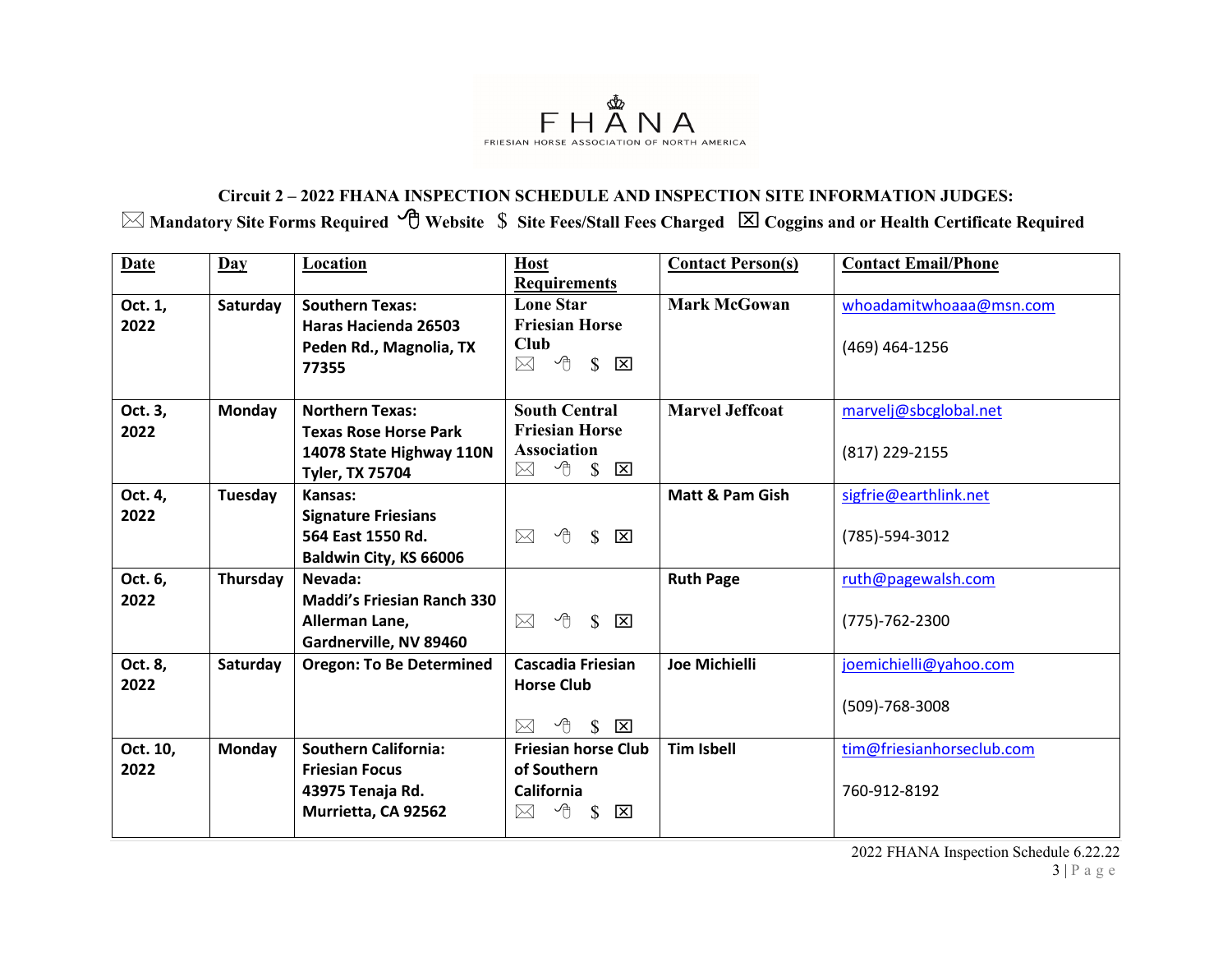

## **Circuit 2 – 2022 FHANA INSPECTION SCHEDULE AND INSPECTION SITE INFORMATION JUDGES: Mandatory Site Forms Required Website** \$ **Site Fees/Stall Fees Charged Coggins and or Health Certificate Required**

| <b>Requirements</b><br><b>Mark McGowan</b><br><b>Lone Star</b><br><b>Southern Texas:</b><br>Oct. 1,<br>Saturday<br><b>Friesian Horse</b><br>2022<br><b>Haras Hacienda 26503</b><br><b>Club</b><br>Peden Rd., Magnolia, TX<br>$(469)$ 464-1256<br>$\boxtimes$ 4 \$<br>$\overline{\mathsf{x}}$<br>77355 | whoadamitwhoaaa@msn.com   |
|-------------------------------------------------------------------------------------------------------------------------------------------------------------------------------------------------------------------------------------------------------------------------------------------------------|---------------------------|
|                                                                                                                                                                                                                                                                                                       |                           |
|                                                                                                                                                                                                                                                                                                       |                           |
|                                                                                                                                                                                                                                                                                                       |                           |
|                                                                                                                                                                                                                                                                                                       |                           |
|                                                                                                                                                                                                                                                                                                       |                           |
|                                                                                                                                                                                                                                                                                                       |                           |
| <b>South Central</b><br><b>Marvel Jeffcoat</b><br>Monday<br><b>Northern Texas:</b><br>Oct. 3,                                                                                                                                                                                                         | marvelj@sbcglobal.net     |
| <b>Friesian Horse</b><br>2022<br><b>Texas Rose Horse Park</b>                                                                                                                                                                                                                                         |                           |
| <b>Association</b><br>14078 State Highway 110N<br>(817) 229-2155                                                                                                                                                                                                                                      |                           |
| $\overline{\bigcirc}$ s<br>$\boxtimes$<br>区<br><b>Tyler, TX 75704</b>                                                                                                                                                                                                                                 |                           |
| Oct. 4,<br>Tuesday<br>Matt & Pam Gish<br>Kansas:                                                                                                                                                                                                                                                      | sigfrie@earthlink.net     |
| 2022<br><b>Signature Friesians</b>                                                                                                                                                                                                                                                                    |                           |
| ∽⊕<br>$\mathbb{S}$<br>564 East 1550 Rd.<br>$\boxtimes$<br>$\overline{\mathsf{x}}$<br>(785)-594-3012                                                                                                                                                                                                   |                           |
| Baldwin City, KS 66006                                                                                                                                                                                                                                                                                |                           |
| Oct. 6,<br>Thursday<br>Nevada:<br><b>Ruth Page</b>                                                                                                                                                                                                                                                    | ruth@pagewalsh.com        |
| <b>Maddi's Friesian Ranch 330</b><br>2022                                                                                                                                                                                                                                                             |                           |
| $\sqrt{9}$ $\sqrt{8}$ $\overline{X}$<br>$\boxtimes$<br>Allerman Lane,<br>$(775) - 762 - 2300$                                                                                                                                                                                                         |                           |
| Gardnerville, NV 89460                                                                                                                                                                                                                                                                                |                           |
| <b>Cascadia Friesian</b><br><b>Joe Michielli</b><br>Oct. 8,<br>Saturday<br><b>Oregon: To Be Determined</b>                                                                                                                                                                                            | joemichielli@yahoo.com    |
| 2022<br><b>Horse Club</b>                                                                                                                                                                                                                                                                             |                           |
| $(509) - 768 - 3008$                                                                                                                                                                                                                                                                                  |                           |
| $\overline{\bigcirc}$ \$<br>$\overline{\mathbf{x}}$<br>$\bowtie$                                                                                                                                                                                                                                      |                           |
| <b>Southern California:</b><br><b>Tim Isbell</b><br>Oct. 10,<br>Monday<br><b>Friesian horse Club</b>                                                                                                                                                                                                  | tim@friesianhorseclub.com |
| 2022<br>of Southern<br><b>Friesian Focus</b>                                                                                                                                                                                                                                                          |                           |
| 43975 Tenaja Rd.<br>California<br>760-912-8192                                                                                                                                                                                                                                                        |                           |
| $\overline{\bigcirc}$ \$<br>Murrietta, CA 92562<br>$\boxtimes$<br>$\overline{\mathbf{x}}$                                                                                                                                                                                                             |                           |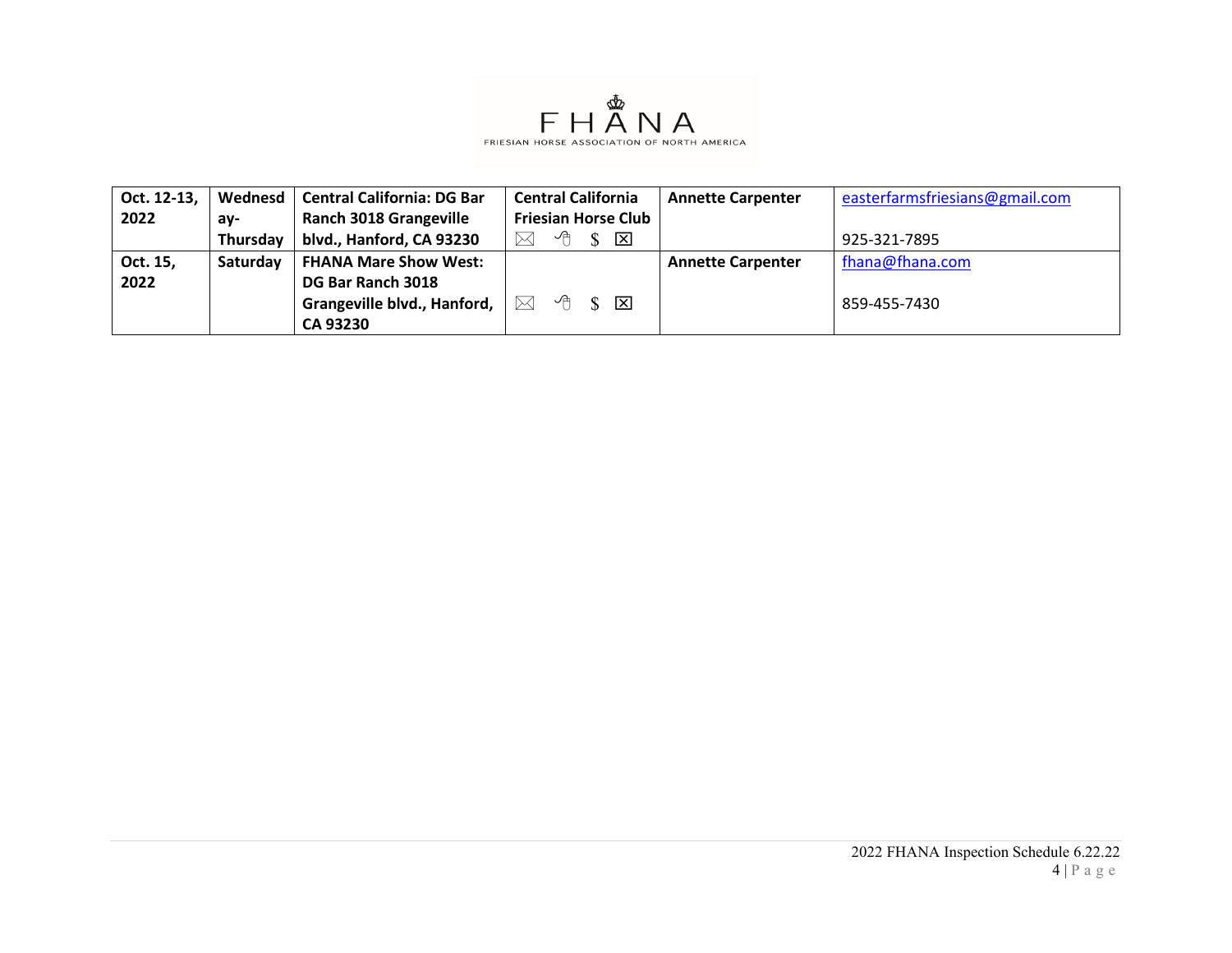

| Oct. 12-13, | Wednesd  | <b>Central California: DG Bar</b> | <b>Central California</b>                  | <b>Annette Carpenter</b> | easterfarmsfriesians@gmail.com |
|-------------|----------|-----------------------------------|--------------------------------------------|--------------------------|--------------------------------|
| 2022        | av-      | <b>Ranch 3018 Grangeville</b>     | <b>Friesian Horse Club</b>                 |                          |                                |
|             | Thursday | blvd., Hanford, CA 93230          | ∽⊕<br>区<br>$\bowtie$                       |                          | 925-321-7895                   |
| Oct. 15,    | Saturday | <b>FHANA Mare Show West:</b>      |                                            | <b>Annette Carpenter</b> | fhana@fhana.com                |
| 2022        |          | DG Bar Ranch 3018                 |                                            |                          |                                |
|             |          | Grangeville blvd., Hanford,       | $\mathcal{A}$ s $\boxtimes$<br>$\boxtimes$ |                          | 859-455-7430                   |
|             |          | <b>CA 93230</b>                   |                                            |                          |                                |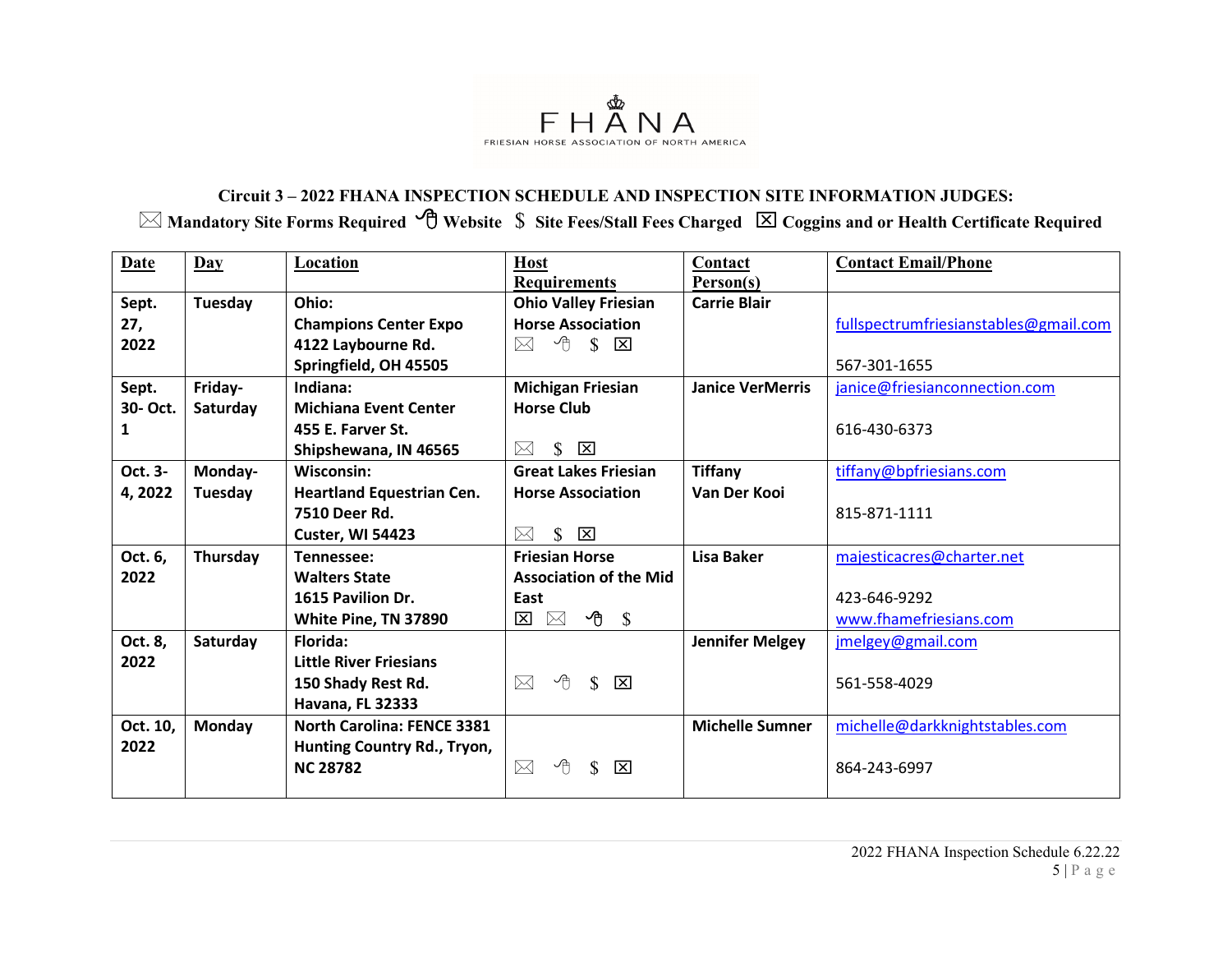

## **Circuit 3 – 2022 FHANA INSPECTION SCHEDULE AND INSPECTION SITE INFORMATION JUDGES: Mandatory Site Forms Required Website** \$ **Site Fees/Stall Fees Charged Coggins and or Health Certificate Required**

| <b>Date</b> | $\mathbf{Day}$ | Location                          | <b>Host</b>                                                        | Contact                 | <b>Contact Email/Phone</b>            |
|-------------|----------------|-----------------------------------|--------------------------------------------------------------------|-------------------------|---------------------------------------|
|             |                |                                   | <b>Requirements</b>                                                | Person(s)               |                                       |
| Sept.       | Tuesday        | Ohio:                             | <b>Ohio Valley Friesian</b>                                        | <b>Carrie Blair</b>     |                                       |
| 27,         |                | <b>Champions Center Expo</b>      | <b>Horse Association</b>                                           |                         | fullspectrumfriesianstables@gmail.com |
| 2022        |                | 4122 Laybourne Rd.                | $\mathcal{F}$ $\mathcal{S}$ $\overline{\mathbf{X}}$<br>$\boxtimes$ |                         |                                       |
|             |                | Springfield, OH 45505             |                                                                    |                         | 567-301-1655                          |
| Sept.       | Friday-        | Indiana:                          | <b>Michigan Friesian</b>                                           | <b>Janice VerMerris</b> | janice@friesianconnection.com         |
| 30- Oct.    | Saturday       | <b>Michiana Event Center</b>      | <b>Horse Club</b>                                                  |                         |                                       |
| 1           |                | 455 E. Farver St.                 |                                                                    |                         | 616-430-6373                          |
|             |                | Shipshewana, IN 46565             | $\mathbb{S}$<br>$\mathsf{\overline{x}}$<br>$\boxtimes$             |                         |                                       |
| Oct. 3-     | Monday-        | Wisconsin:                        | <b>Great Lakes Friesian</b>                                        | <b>Tiffany</b>          | tiffany@bpfriesians.com               |
| 4,2022      | Tuesday        | <b>Heartland Equestrian Cen.</b>  | <b>Horse Association</b>                                           | Van Der Kooi            |                                       |
|             |                | 7510 Deer Rd.                     |                                                                    |                         | 815-871-1111                          |
|             |                | Custer, WI 54423                  | \$<br>$\mathbf{\overline{X}}$<br>$\boxtimes$                       |                         |                                       |
| Oct. 6,     | Thursday       | Tennessee:                        | <b>Friesian Horse</b>                                              | Lisa Baker              | majesticacres@charter.net             |
| 2022        |                | <b>Walters State</b>              | <b>Association of the Mid</b>                                      |                         |                                       |
|             |                | 1615 Pavilion Dr.                 | East                                                               |                         | 423-646-9292                          |
|             |                | White Pine, TN 37890              | $\overline{\Theta}$ \$<br>$\times$<br>$\mathbf{x}$                 |                         | www.fhamefriesians.com                |
| Oct. 8,     | Saturday       | Florida:                          |                                                                    | <b>Jennifer Melgey</b>  | jmelgey@gmail.com                     |
| 2022        |                | <b>Little River Friesians</b>     |                                                                    |                         |                                       |
|             |                | 150 Shady Rest Rd.                | ∽⊕<br>$\boxtimes$<br>$\mathbb{S}$<br>$\overline{\mathbf{x}}$       |                         | 561-558-4029                          |
|             |                | <b>Havana, FL 32333</b>           |                                                                    |                         |                                       |
| Oct. 10,    | <b>Monday</b>  | <b>North Carolina: FENCE 3381</b> |                                                                    | <b>Michelle Sumner</b>  | michelle@darkknightstables.com        |
| 2022        |                | Hunting Country Rd., Tryon,       |                                                                    |                         |                                       |
|             |                | <b>NC 28782</b>                   | $\boxtimes$<br>小<br>S<br>ाप्र                                      |                         | 864-243-6997                          |
|             |                |                                   |                                                                    |                         |                                       |